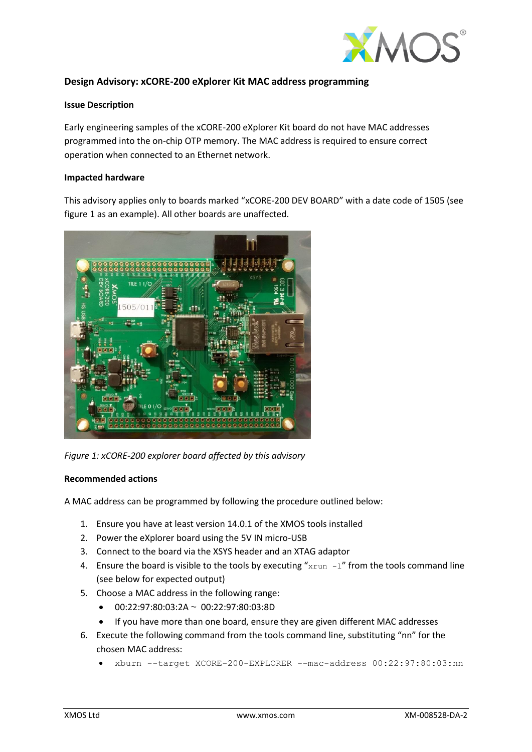

## **Design Advisory: xCORE-200 eXplorer Kit MAC address programming**

## **Issue Description**

Early engineering samples of the xCORE-200 eXplorer Kit board do not have MAC addresses programmed into the on-chip OTP memory. The MAC address is required to ensure correct operation when connected to an Ethernet network.

## **Impacted hardware**

This advisory applies only to boards marked "xCORE-200 DEV BOARD" with a date code of 1505 (see figure 1 as an example). All other boards are unaffected.



*Figure 1: xCORE-200 explorer board affected by this advisory*

## **Recommended actions**

A MAC address can be programmed by following the procedure outlined below:

- 1. Ensure you have at least version 14.0.1 of the XMOS tools installed
- 2. Power the eXplorer board using the 5V IN micro-USB
- 3. Connect to the board via the XSYS header and an XTAG adaptor
- 4. Ensure the board is visible to the tools by executing " $xrun -1$ " from the tools command line (see below for expected output)
- 5. Choose a MAC address in the following range:
	- $\bullet$  00:22:97:80:03:2A ~ 00:22:97:80:03:8D
	- If you have more than one board, ensure they are given different MAC addresses
- 6. Execute the following command from the tools command line, substituting "nn" for the chosen MAC address:
	- xburn --target XCORE-200-EXPLORER --mac-address 00:22:97:80:03:nn